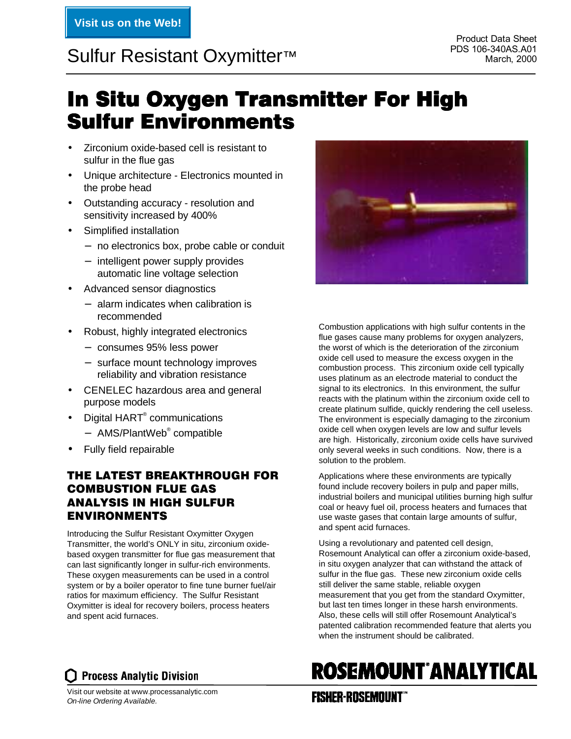# PDS 106-340AS.A01 PDS 106-340AS.A01 Sulfur Resistant Oxymitter™ March, 2000

# In Situ Oxygen Transmitter For High **Sulfur Environments**

- Zirconium oxide-based cell is resistant to sulfur in the flue gas
- Unique architecture Electronics mounted in the probe head
- Outstanding accuracy resolution and sensitivity increased by 400%
- Simplified installation
	- − no electronics box, probe cable or conduit
	- − intelligent power supply provides automatic line voltage selection
- Advanced sensor diagnostics
	- − alarm indicates when calibration is recommended
- Robust, highly integrated electronics
	- − consumes 95% less power
	- − surface mount technology improves reliability and vibration resistance
- CENELEC hazardous area and general purpose models
- Digital HART<sup>®</sup> communications
	- − AMS/PlantWeb® compatible
- Fully field repairable

## THE LATEST BREAKTHROUGH FOR COMBUSTION FLUE GAS ANALYSIS IN HIGH SULFUR ENVIRONMENTS

Introducing the Sulfur Resistant Oxymitter Oxygen Transmitter, the world's ONLY in situ, zirconium oxidebased oxygen transmitter for flue gas measurement that can last significantly longer in sulfur-rich environments. These oxygen measurements can be used in a control system or by a boiler operator to fine tune burner fuel/air ratios for maximum efficiency. The Sulfur Resistant Oxymitter is ideal for recovery boilers, process heaters and spent acid furnaces.



Combustion applications with high sulfur contents in the flue gases cause many problems for oxygen analyzers, the worst of which is the deterioration of the zirconium oxide cell used to measure the excess oxygen in the combustion process. This zirconium oxide cell typically uses platinum as an electrode material to conduct the signal to its electronics. In this environment, the sulfur reacts with the platinum within the zirconium oxide cell to create platinum sulfide, quickly rendering the cell useless. The environment is especially damaging to the zirconium oxide cell when oxygen levels are low and sulfur levels are high. Historically, zirconium oxide cells have survived only several weeks in such conditions. Now, there is a solution to the problem.

Applications where these environments are typically found include recovery boilers in pulp and paper mills, industrial boilers and municipal utilities burning high sulfur coal or heavy fuel oil, process heaters and furnaces that use waste gases that contain large amounts of sulfur, and spent acid furnaces.

Using a revolutionary and patented cell design, Rosemount Analytical can offer a zirconium oxide-based, in situ oxygen analyzer that can withstand the attack of sulfur in the flue gas. These new zirconium oxide cells still deliver the same stable, reliable oxygen measurement that you get from the standard Oxymitter, but last ten times longer in these harsh environments. Also, these cells will still offer Rosemount Analytical's patented calibration recommended feature that alerts you when the instrument should be calibrated.

# **ROSEMOUNT ANALYTICAL**

Visit our website at www.processanalytic.com On-line Ordering Available.

**Process Analytic Division** 

## **FISHER-ROSEMOUNT**"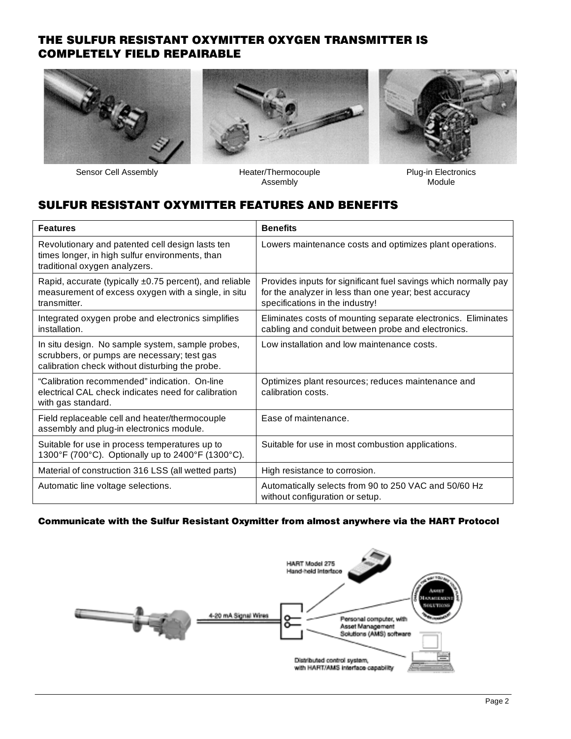## THE SULFUR RESISTANT OXYMITTER OXYGEN TRANSMITTER IS COMPLETELY FIELD REPAIRABLE







Sensor Cell Assembly Heater/Thermocouple

Assembly

Plug-in Electronics Module

## SULFUR RESISTANT OXYMITTER FEATURES AND BENEFITS

| <b>Features</b>                                                                                                                                    | <b>Benefits</b>                                                                                                                                             |
|----------------------------------------------------------------------------------------------------------------------------------------------------|-------------------------------------------------------------------------------------------------------------------------------------------------------------|
| Revolutionary and patented cell design lasts ten<br>times longer, in high sulfur environments, than<br>traditional oxygen analyzers.               | Lowers maintenance costs and optimizes plant operations.                                                                                                    |
| Rapid, accurate (typically ±0.75 percent), and reliable<br>measurement of excess oxygen with a single, in situ<br>transmitter.                     | Provides inputs for significant fuel savings which normally pay<br>for the analyzer in less than one year; best accuracy<br>specifications in the industry! |
| Integrated oxygen probe and electronics simplifies<br>installation.                                                                                | Eliminates costs of mounting separate electronics. Eliminates<br>cabling and conduit between probe and electronics.                                         |
| In situ design. No sample system, sample probes,<br>scrubbers, or pumps are necessary; test gas<br>calibration check without disturbing the probe. | Low installation and low maintenance costs.                                                                                                                 |
| "Calibration recommended" indication. On-line<br>electrical CAL check indicates need for calibration<br>with gas standard.                         | Optimizes plant resources; reduces maintenance and<br>calibration costs.                                                                                    |
| Field replaceable cell and heater/thermocouple<br>assembly and plug-in electronics module.                                                         | Ease of maintenance.                                                                                                                                        |
| Suitable for use in process temperatures up to<br>1300°F (700°C). Optionally up to 2400°F (1300°C).                                                | Suitable for use in most combustion applications.                                                                                                           |
| Material of construction 316 LSS (all wetted parts)                                                                                                | High resistance to corrosion.                                                                                                                               |
| Automatic line voltage selections.                                                                                                                 | Automatically selects from 90 to 250 VAC and 50/60 Hz<br>without configuration or setup.                                                                    |

#### Communicate with the Sulfur Resistant Oxymitter from almost anywhere via the HART Protocol

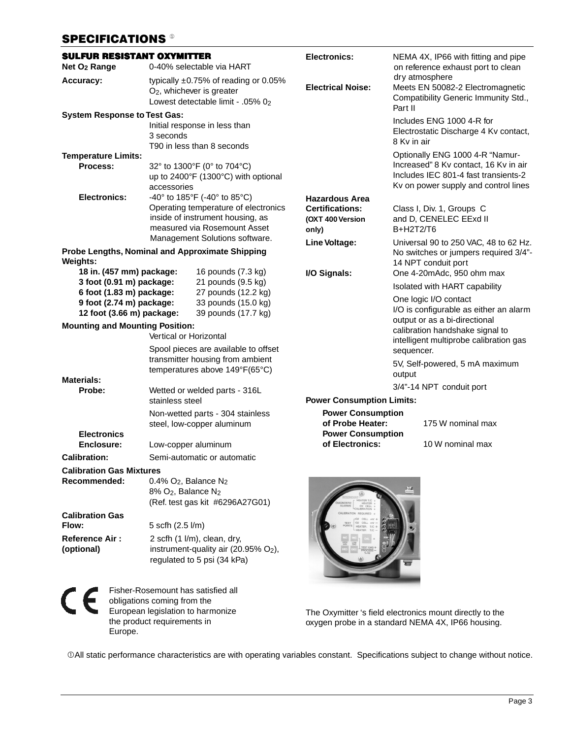## SPECIFICATIONS<sup>®</sup>

| <b>SULFUR RESISTANT OXYMITTER</b><br>Net O <sub>2</sub> Range<br>0-40% selectable via HART                                                                                                                                                                                                           |                                                                                                                          |                                                                                                                                          | <b>Electronics:</b>                                                                                                                                                     |                                                                                                       | NEMA 4X, IP66 with fitting and pipe<br>on reference exhaust port to clean                                                                                |
|------------------------------------------------------------------------------------------------------------------------------------------------------------------------------------------------------------------------------------------------------------------------------------------------------|--------------------------------------------------------------------------------------------------------------------------|------------------------------------------------------------------------------------------------------------------------------------------|-------------------------------------------------------------------------------------------------------------------------------------------------------------------------|-------------------------------------------------------------------------------------------------------|----------------------------------------------------------------------------------------------------------------------------------------------------------|
| Accuracy:                                                                                                                                                                                                                                                                                            | typically $\pm 0.75\%$ of reading or 0.05%<br>O <sub>2</sub> , whichever is greater<br>Lowest detectable limit - .05% 02 |                                                                                                                                          | <b>Electrical Noise:</b>                                                                                                                                                | Part II                                                                                               | dry atmosphere<br>Meets EN 50082-2 Electromagnetic<br>Compatibility Generic Immunity Std.,                                                               |
| <b>System Response to Test Gas:</b>                                                                                                                                                                                                                                                                  | 3 seconds                                                                                                                | Initial response in less than<br>T90 in less than 8 seconds                                                                              |                                                                                                                                                                         | 8 Kv in air                                                                                           | Includes ENG 1000 4-R for<br>Electrostatic Discharge 4 Kv contact,                                                                                       |
| <b>Temperature Limits:</b><br>Process:                                                                                                                                                                                                                                                               | accessories                                                                                                              | 32° to 1300°F (0° to 704°C)<br>up to 2400°F (1300°C) with optional                                                                       |                                                                                                                                                                         |                                                                                                       | Optionally ENG 1000 4-R "Namur-<br>Increased" 8 Kv contact, 16 Kv in air<br>Includes IEC 801-4 fast transients-2<br>Kv on power supply and control lines |
| <b>Electronics:</b>                                                                                                                                                                                                                                                                                  |                                                                                                                          | -40° to 185°F (-40° to 85°C)<br>Operating temperature of electronics<br>inside of instrument housing, as<br>measured via Rosemount Asset | <b>Hazardous Area</b><br><b>Certifications:</b><br>(OXT 400 Version<br>only)                                                                                            | B+H2T2/T6                                                                                             | Class I, Div. 1, Groups C<br>and D, CENELEC EExd II                                                                                                      |
| Management Solutions software.<br>Probe Lengths, Nominal and Approximate Shipping<br>Weights:                                                                                                                                                                                                        |                                                                                                                          |                                                                                                                                          | Line Voltage:                                                                                                                                                           | Universal 90 to 250 VAC, 48 to 62 Hz.<br>No switches or jumpers required 3/4"-<br>14 NPT conduit port |                                                                                                                                                          |
| 18 in. (457 mm) package:<br>16 pounds (7.3 kg)<br>3 foot (0.91 m) package:<br>21 pounds (9.5 kg)<br>27 pounds (12.2 kg)<br>6 foot (1.83 m) package:<br>9 foot (2.74 m) package:<br>33 pounds (15.0 kg)<br>12 foot (3.66 m) package:<br>39 pounds (17.7 kg)<br><b>Mounting and Mounting Position:</b> |                                                                                                                          |                                                                                                                                          | I/O Signals:<br>One 4-20mAdc, 950 ohm max<br>Isolated with HART capability<br>One logic I/O contact<br>output or as a bi-directional<br>calibration handshake signal to |                                                                                                       | I/O is configurable as either an alarm                                                                                                                   |
|                                                                                                                                                                                                                                                                                                      | Vertical or Horizontal                                                                                                   | Spool pieces are available to offset<br>transmitter housing from ambient<br>temperatures above 149°F(65°C)                               |                                                                                                                                                                         | sequencer.                                                                                            | intelligent multiprobe calibration gas<br>5V, Self-powered, 5 mA maximum                                                                                 |
| <b>Materials:</b><br>Probe:                                                                                                                                                                                                                                                                          | stainless steel                                                                                                          | Wetted or welded parts - 316L                                                                                                            | <b>Power Consumption Limits:</b>                                                                                                                                        | output                                                                                                | 3/4"-14 NPT conduit port                                                                                                                                 |
| <b>Electronics</b>                                                                                                                                                                                                                                                                                   |                                                                                                                          | Non-wetted parts - 304 stainless<br>steel, low-copper aluminum                                                                           | <b>Power Consumption</b><br>of Probe Heater:<br><b>Power Consumption</b>                                                                                                |                                                                                                       | 175 W nominal max                                                                                                                                        |
| Enclosure:<br><b>Calibration:</b>                                                                                                                                                                                                                                                                    | Low-copper aluminum                                                                                                      | Semi-automatic or automatic                                                                                                              | of Electronics:                                                                                                                                                         |                                                                                                       | 10 W nominal max                                                                                                                                         |
| <b>Calibration Gas Mixtures</b>                                                                                                                                                                                                                                                                      |                                                                                                                          |                                                                                                                                          |                                                                                                                                                                         |                                                                                                       |                                                                                                                                                          |
| Recommended:                                                                                                                                                                                                                                                                                         | $0.4\%$ O <sub>2</sub> , Balance N <sub>2</sub><br>8% O <sub>2</sub> , Balance N <sub>2</sub>                            | (Ref. test gas kit #6296A27G01)                                                                                                          |                                                                                                                                                                         | 74                                                                                                    |                                                                                                                                                          |
| <b>Calibration Gas</b><br>Flow:                                                                                                                                                                                                                                                                      | 5 scfh (2.5 l/m)                                                                                                         |                                                                                                                                          |                                                                                                                                                                         |                                                                                                       |                                                                                                                                                          |
| <b>Reference Air:</b><br>(optional)                                                                                                                                                                                                                                                                  |                                                                                                                          | 2 scfh (1 l/m), clean, dry,<br>instrument-quality air (20.95% $O2$ ),<br>regulated to 5 psi (34 kPa)                                     |                                                                                                                                                                         |                                                                                                       |                                                                                                                                                          |

 $C \in$ 

Fisher-Rosemount has satisfied all obligations coming from the European legislation to harmonize the product requirements in Europe.

The Oxymitter 's field electronics mount directly to the oxygen probe in a standard NEMA 4X, IP66 housing.

 $\degree$  DAII static performance characteristics are with operating variables constant. Specifications subject to change without notice.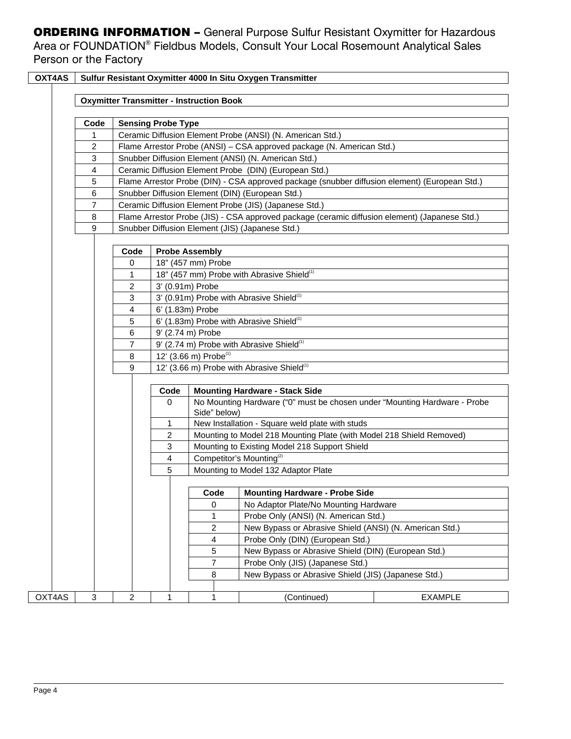**ORDERING INFORMATION - General Purpose Sulfur Resistant Oxymitter for Hazardous** Area or FOUNDATION® Fieldbus Models, Consult Your Local Rosemount Analytical Sales Person or the Factory

| OXT4AS |      |                |                                                                       |                                                                                                     | Sulfur Resistant Oxymitter 4000 In Situ Oxygen Transmitter                                    |                |  |  |
|--------|------|----------------|-----------------------------------------------------------------------|-----------------------------------------------------------------------------------------------------|-----------------------------------------------------------------------------------------------|----------------|--|--|
|        |      |                |                                                                       |                                                                                                     |                                                                                               |                |  |  |
|        |      |                | <b>Oxymitter Transmitter - Instruction Book</b>                       |                                                                                                     |                                                                                               |                |  |  |
|        | Code |                | <b>Sensing Probe Type</b>                                             |                                                                                                     |                                                                                               |                |  |  |
|        | 1    |                |                                                                       |                                                                                                     | Ceramic Diffusion Element Probe (ANSI) (N. American Std.)                                     |                |  |  |
|        | 2    |                | Flame Arrestor Probe (ANSI) - CSA approved package (N. American Std.) |                                                                                                     |                                                                                               |                |  |  |
|        | 3    |                |                                                                       |                                                                                                     | Snubber Diffusion Element (ANSI) (N. American Std.)                                           |                |  |  |
|        | 4    |                |                                                                       |                                                                                                     | Ceramic Diffusion Element Probe (DIN) (European Std.)                                         |                |  |  |
|        | 5    |                |                                                                       |                                                                                                     | Flame Arrestor Probe (DIN) - CSA approved package (snubber diffusion element) (European Std.) |                |  |  |
|        | 6    |                |                                                                       |                                                                                                     | Snubber Diffusion Element (DIN) (European Std.)                                               |                |  |  |
|        | 7    |                |                                                                       |                                                                                                     | Ceramic Diffusion Element Probe (JIS) (Japanese Std.)                                         |                |  |  |
|        | 8    |                |                                                                       |                                                                                                     | Flame Arrestor Probe (JIS) - CSA approved package (ceramic diffusion element) (Japanese Std.) |                |  |  |
|        | 9    |                |                                                                       |                                                                                                     | Snubber Diffusion Element (JIS) (Japanese Std.)                                               |                |  |  |
|        |      |                |                                                                       |                                                                                                     |                                                                                               |                |  |  |
|        |      | Code           |                                                                       | <b>Probe Assembly</b>                                                                               |                                                                                               |                |  |  |
|        |      | 0              |                                                                       | 18" (457 mm) Probe                                                                                  |                                                                                               |                |  |  |
|        |      | 1              |                                                                       |                                                                                                     | 18" (457 mm) Probe with Abrasive Shield <sup>(1)</sup>                                        |                |  |  |
|        |      | $\overline{c}$ | 3' (0.91m) Probe                                                      |                                                                                                     |                                                                                               |                |  |  |
|        |      | 3              |                                                                       |                                                                                                     | 3' (0.91m) Probe with Abrasive Shield <sup>(1)</sup>                                          |                |  |  |
|        |      | 4              | 6' (1.83m) Probe                                                      |                                                                                                     |                                                                                               |                |  |  |
|        |      | 5              |                                                                       |                                                                                                     | 6' (1.83m) Probe with Abrasive Shield <sup>(1)</sup>                                          |                |  |  |
|        |      | 6              |                                                                       | 9' (2.74 m) Probe                                                                                   |                                                                                               |                |  |  |
|        |      | 7              |                                                                       | 9' (2.74 m) Probe with Abrasive Shield <sup>(1)</sup>                                               |                                                                                               |                |  |  |
|        |      | 8              |                                                                       | 12' (3.66 m) Probe <sup>(1)</sup>                                                                   |                                                                                               |                |  |  |
|        |      | 9              |                                                                       | 12' (3.66 m) Probe with Abrasive Shield <sup>(1)</sup>                                              |                                                                                               |                |  |  |
|        |      |                | Code                                                                  |                                                                                                     | <b>Mounting Hardware - Stack Side</b>                                                         |                |  |  |
|        |      |                | $\mathbf 0$                                                           | Side" below)                                                                                        | No Mounting Hardware ("0" must be chosen under "Mounting Hardware - Probe                     |                |  |  |
|        |      |                | 1                                                                     |                                                                                                     | New Installation - Square weld plate with studs                                               |                |  |  |
|        |      |                | 2                                                                     |                                                                                                     | Mounting to Model 218 Mounting Plate (with Model 218 Shield Removed)                          |                |  |  |
|        |      |                | 3                                                                     |                                                                                                     | Mounting to Existing Model 218 Support Shield                                                 |                |  |  |
|        |      |                | 4                                                                     |                                                                                                     | Competitor's Mounting <sup>(2)</sup>                                                          |                |  |  |
|        |      |                | 5                                                                     | Mounting to Model 132 Adaptor Plate                                                                 |                                                                                               |                |  |  |
|        |      |                |                                                                       |                                                                                                     |                                                                                               |                |  |  |
|        |      |                |                                                                       | $\overline{\phantom{a}}$ Code<br>$\mathbf{I}$ $\mathbf{I}$<br><b>Mounting Hardware - Probe Side</b> |                                                                                               |                |  |  |
|        |      |                |                                                                       | No Adaptor Plate/No Mounting Hardware<br>0                                                          |                                                                                               |                |  |  |
|        |      |                |                                                                       | Probe Only (ANSI) (N. American Std.)<br>1                                                           |                                                                                               |                |  |  |
|        |      |                |                                                                       | $\overline{c}$<br>New Bypass or Abrasive Shield (ANSI) (N. American Std.)                           |                                                                                               |                |  |  |
|        |      |                |                                                                       | Probe Only (DIN) (European Std.)<br>4                                                               |                                                                                               |                |  |  |
|        |      |                |                                                                       | New Bypass or Abrasive Shield (DIN) (European Std.)<br>5                                            |                                                                                               |                |  |  |
|        |      |                |                                                                       | $\overline{7}$<br>Probe Only (JIS) (Japanese Std.)                                                  |                                                                                               |                |  |  |
|        |      |                |                                                                       | New Bypass or Abrasive Shield (JIS) (Japanese Std.)<br>8                                            |                                                                                               |                |  |  |
|        |      |                |                                                                       |                                                                                                     |                                                                                               |                |  |  |
| OXT4AS | 3    | 2              | 1                                                                     | 1                                                                                                   | (Continued)                                                                                   | <b>EXAMPLE</b> |  |  |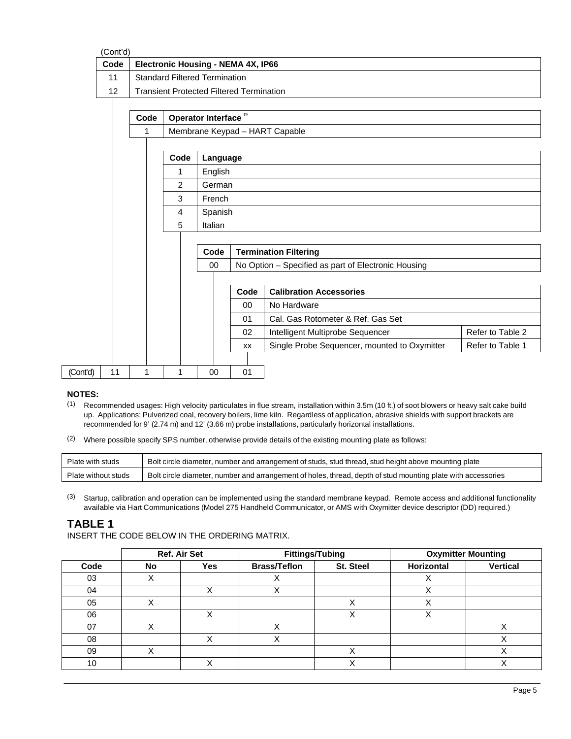| Code | <b>Electronic Housing - NEMA 4X, IP66</b>       |  |
|------|-------------------------------------------------|--|
| 11   | <b>Standard Filtered Termination</b>            |  |
| 12   | <b>Transient Protected Filtered Termination</b> |  |

|          |    | Code |      | Operator Interface <sup>(3)</sup> |           |                                                     |                  |  |
|----------|----|------|------|-----------------------------------|-----------|-----------------------------------------------------|------------------|--|
|          |    | 1    |      |                                   |           | Membrane Keypad - HART Capable                      |                  |  |
|          |    |      |      |                                   |           |                                                     |                  |  |
|          |    |      | Code | Language                          |           |                                                     |                  |  |
|          |    |      | 1    | English                           |           |                                                     |                  |  |
|          |    |      | 2    | German                            |           |                                                     |                  |  |
|          |    |      | 3    | French                            |           |                                                     |                  |  |
|          |    |      | 4    | Spanish                           |           |                                                     |                  |  |
|          |    |      | 5    | Italian                           |           |                                                     |                  |  |
|          |    |      |      |                                   |           |                                                     |                  |  |
|          |    |      |      | Code                              |           | <b>Termination Filtering</b>                        |                  |  |
|          |    |      |      | 00                                |           | No Option - Specified as part of Electronic Housing |                  |  |
|          |    |      |      |                                   |           |                                                     |                  |  |
|          |    |      |      |                                   | Code      | <b>Calibration Accessories</b>                      |                  |  |
|          |    |      |      |                                   | $00\,$    | No Hardware                                         |                  |  |
|          |    |      |      |                                   | 01        | Cal. Gas Rotometer & Ref. Gas Set                   |                  |  |
|          |    |      |      |                                   | 02        | Intelligent Multiprobe Sequencer                    | Refer to Table 2 |  |
|          |    |      |      |                                   | <b>XX</b> | Single Probe Sequencer, mounted to Oxymitter        | Refer to Table 1 |  |
|          |    |      |      |                                   |           |                                                     |                  |  |
| (Cont'd) | 11 |      | 1    | $00\,$                            | 01        |                                                     |                  |  |

#### **NOTES:**

- (1) Recommended usages: High velocity particulates in flue stream, installation within 3.5m (10 ft.) of soot blowers or heavy salt cake build up. Applications: Pulverized coal, recovery boilers, lime kiln. Regardless of application, abrasive shields with support brackets are recommended for 9' (2.74 m) and 12' (3.66 m) probe installations, particularly horizontal installations.
- (2) Where possible specify SPS number, otherwise provide details of the existing mounting plate as follows:

| Plate with studs    | Bolt circle diameter, number and arrangement of studs, stud thread, stud height above mounting plate         |
|---------------------|--------------------------------------------------------------------------------------------------------------|
| Plate without studs | Bolt circle diameter, number and arrangement of holes, thread, depth of stud mounting plate with accessories |

(3) Startup, calibration and operation can be implemented using the standard membrane keypad. Remote access and additional functionality available via Hart Communications (Model 275 Handheld Communicator, or AMS with Oxymitter device descriptor (DD) required.)

#### **TABLE 1**

INSERT THE CODE BELOW IN THE ORDERING MATRIX.

|      | Ref. Air Set |              | <b>Fittings/Tubing</b> |                  | <b>Oxymitter Mounting</b> |                 |
|------|--------------|--------------|------------------------|------------------|---------------------------|-----------------|
| Code | No           | Yes          | <b>Brass/Teflon</b>    | <b>St. Steel</b> | Horizontal                | <b>Vertical</b> |
| 03   |              |              | ↗                      |                  |                           |                 |
| 04   |              | ៶,           |                        |                  |                           |                 |
| 05   |              |              |                        |                  |                           |                 |
| 06   |              | ៶            |                        |                  |                           |                 |
| 07   |              |              |                        |                  |                           |                 |
| 08   |              | $\checkmark$ |                        |                  |                           |                 |
| 09   |              |              |                        | Λ                |                           |                 |
| 10   |              | $\checkmark$ |                        |                  |                           |                 |